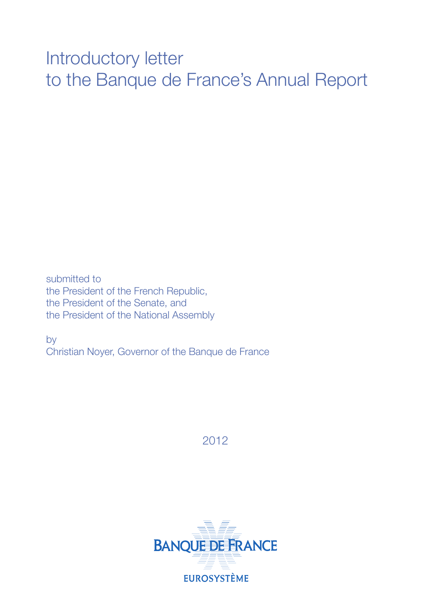# Introductory letter to the Banque de France's Annual Report

submitted to the President of the French Republic, the President of the Senate, and the President of the National Assembly

by Christian Noyer, Governor of the Banque de France

2012

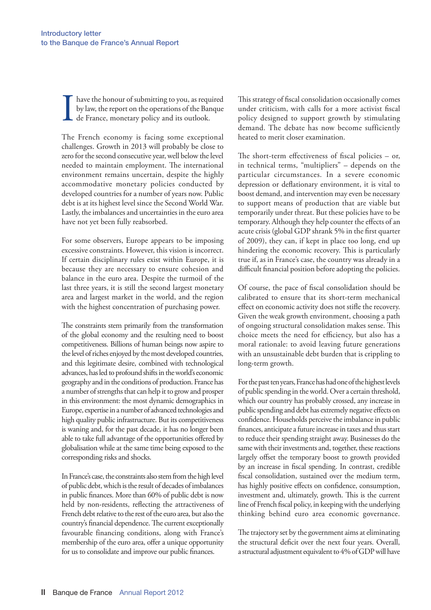I have the honour of submitting to you, as required by law, the report on the operations of the Banque de France, monetary policy and its outlook.

The French economy is facing some exceptional challenges. Growth in 2013 will probably be close to zero for the second consecutive year, well below the level needed to maintain employment. The international environment remains uncertain, despite the highly accommodative monetary policies conducted by developed countries for a number of years now. Public debt is at its highest level since the Second World War. Lastly, the imbalances and uncertainties in the euro area have not yet been fully reabsorbed.

For some observers, Europe appears to be imposing excessive constraints. However, this vision is incorrect. If certain disciplinary rules exist within Europe, it is because they are necessary to ensure cohesion and balance in the euro area. Despite the turmoil of the last three years, it is still the second largest monetary area and largest market in the world, and the region with the highest concentration of purchasing power.

The constraints stem primarily from the transformation of the global economy and the resulting need to boost competitiveness. Billions of human beings now aspire to the level of riches enjoyed by the most developed countries, and this legitimate desire, combined with technological advances, has led to profound shifts in the world's economic geography and in the conditions of production. France has a number of strengths that can help it to grow and prosper in this environment: the most dynamic demographics in Europe, expertise in a number of advanced technologies and high quality public infrastructure. But its competitiveness is waning and, for the past decade, it has no longer been able to take full advantage of the opportunities offered by globalisation while at the same time being exposed to the corresponding risks and shocks.

In France's case, the constraints also stem from the high level of public debt, which is the result of decades of imbalances in public finances. More than 60% of public debt is now held by non-residents, reflecting the attractiveness of French debt relative to the rest of the euro area, but also the country's financial dependence. The current exceptionally favourable financing conditions, along with France's membership of the euro area, offer a unique opportunity for us to consolidate and improve our public finances.

This strategy of fiscal consolidation occasionally comes under criticism, with calls for a more activist fiscal policy designed to support growth by stimulating demand. The debate has now become sufficiently heated to merit closer examination.

The short-term effectiveness of fiscal policies  $-$  or, in technical terms, "multipliers" – depends on the particular circumstances. In a severe economic depression or deflationary environment, it is vital to boost demand, and intervention may even be necessary to support means of production that are viable but temporarily under threat. But these policies have to be temporary. Although they help counter the effects of an acute crisis (global GDP shrank 5% in the first quarter of 2009), they can, if kept in place too long, end up hindering the economic recovery. This is particularly true if, as in France's case, the country was already in a difficult financial position before adopting the policies.

Of course, the pace of fiscal consolidation should be calibrated to ensure that its short-term mechanical effect on economic activity does not stifle the recovery. Given the weak growth environment, choosing a path of ongoing structural consolidation makes sense. This choice meets the need for efficiency, but also has a moral rationale: to avoid leaving future generations with an unsustainable debt burden that is crippling to long-term growth.

For the past ten years, France has had one of the highest levels of public spending in the world. Over a certain threshold, which our country has probably crossed, any increase in public spending and debt has extremely negative effects on confidence. Households perceive the imbalance in public finances, anticipate a future increase in taxes and thus start to reduce their spending straight away. Businesses do the same with their investments and, together, these reactions largely offset the temporary boost to growth provided by an increase in fiscal spending. In contrast, credible fiscal consolidation, sustained over the medium term, has highly positive effects on confidence, consumption, investment and, ultimately, growth. This is the current line of French fiscal policy, in keeping with the underlying thinking behind euro area economic governance.

The trajectory set by the government aims at eliminating the structural deficit over the next four years. Overall, a structural adjustment equivalent to 4% of GDP will have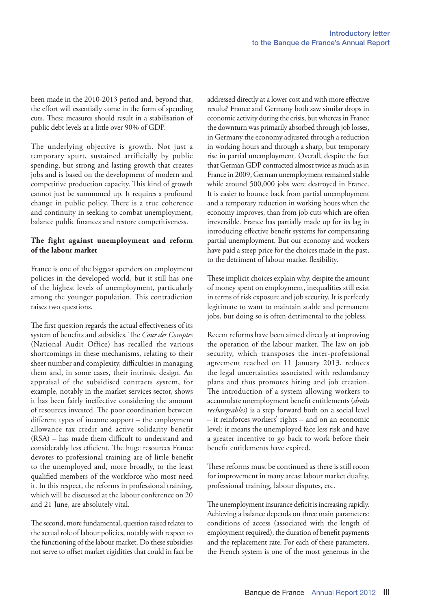been made in the 2010-2013 period and, beyond that, the effort will essentially come in the form of spending cuts. These measures should result in a stabilisation of public debt levels at a little over 90% of GDP.

The underlying objective is growth. Not just a temporary spurt, sustained artificially by public spending, but strong and lasting growth that creates jobs and is based on the development of modern and competitive production capacity. This kind of growth cannot just be summoned up. It requires a profound change in public policy. There is a true coherence and continuity in seeking to combat unemployment, balance public finances and restore competitiveness.

## **The fight against unemployment and reform of the labour market**

France is one of the biggest spenders on employment policies in the developed world, but it still has one of the highest levels of unemployment, particularly among the younger population. This contradiction raises two questions.

The first question regards the actual effectiveness of its system of benefits and subsidies. The *Cour des Comptes* (National Audit Office) has recalled the various shortcomings in these mechanisms, relating to their sheer number and complexity, difficulties in managing them and, in some cases, their intrinsic design. An appraisal of the subsidised contracts system, for example, notably in the market services sector, shows it has been fairly ineffective considering the amount of resources invested. The poor coordination between different types of income support – the employment allowance tax credit and active solidarity benefit (RSA) – has made them difficult to understand and considerably less efficient. The huge resources France devotes to professional training are of little benefit to the unemployed and, more broadly, to the least qualified members of the workforce who most need it. In this respect, the reforms in professional training, which will be discussed at the labour conference on 20 and 21 June, are absolutely vital.

The second, more fundamental, question raised relates to the actual role of labour policies, notably with respect to the functioning of the labour market. Do these subsidies not serve to offset market rigidities that could in fact be addressed directly at a lower cost and with more effective results? France and Germany both saw similar drops in economic activity during the crisis, but whereas in France the downturn was primarily absorbed through job losses, in Germany the economy adjusted through a reduction in working hours and through a sharp, but temporary rise in partial unemployment. Overall, despite the fact that German GDP contracted almost twice as much as in France in 2009, German unemployment remained stable while around 500,000 jobs were destroyed in France. It is easier to bounce back from partial unemployment and a temporary reduction in working hours when the economy improves, than from job cuts which are often irreversible. France has partially made up for its lag in introducing effective benefit systems for compensating partial unemployment. But our economy and workers have paid a steep price for the choices made in the past, to the detriment of labour market flexibility.

These implicit choices explain why, despite the amount of money spent on employment, inequalities still exist in terms of risk exposure and job security. It is perfectly legitimate to want to maintain stable and permanent jobs, but doing so is often detrimental to the jobless.

Recent reforms have been aimed directly at improving the operation of the labour market. The law on job security, which transposes the inter-professional agreement reached on 11 January 2013, reduces the legal uncertainties associated with redundancy plans and thus promotes hiring and job creation. The introduction of a system allowing workers to accumulate unemployment benefit entitlements (*droits rechargeables*) is a step forward both on a social level – it reinforces workers' rights – and on an economic level: it means the unemployed face less risk and have a greater incentive to go back to work before their benefit entitlements have expired.

These reforms must be continued as there is still room for improvement in many areas: labour market duality, professional training, labour disputes, etc.

The unemployment insurance deficit is increasing rapidly. Achieving a balance depends on three main parameters: conditions of access (associated with the length of employment required), the duration of benefit payments and the replacement rate. For each of these parameters, the French system is one of the most generous in the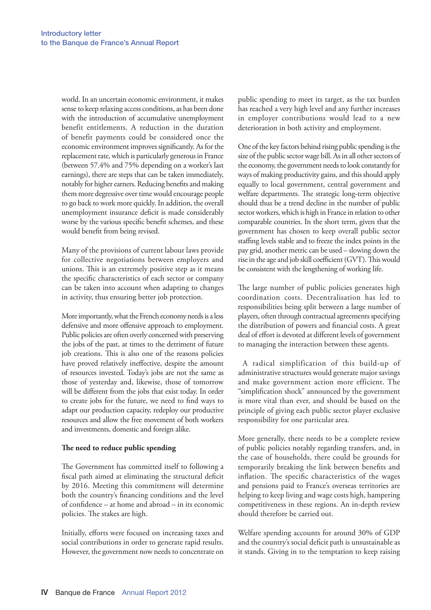world. In an uncertain economic environment, it makes sense to keep relaxing access conditions, as has been done with the introduction of accumulative unemployment benefit entitlements. A reduction in the duration of benefit payments could be considered once the economic environment improves significantly. As for the replacement rate, which is particularly generous in France (between 57.4% and 75% depending on a worker's last earnings), there are steps that can be taken immediately, notably for higher earners. Reducing benefits and making them more degressive over time would encourage people to go back to work more quickly. In addition, the overall unemployment insurance deficit is made considerably worse by the various specific benefit schemes, and these would benefit from being revised.

Many of the provisions of current labour laws provide for collective negotiations between employers and unions. This is an extremely positive step as it means the specific characteristics of each sector or company can be taken into account when adapting to changes in activity, thus ensuring better job protection.

More importantly, what the French economy needs is a less defensive and more offensive approach to employment. Public policies are often overly concerned with preserving the jobs of the past, at times to the detriment of future job creations. This is also one of the reasons policies have proved relatively ineffective, despite the amount of resources invested. Today's jobs are not the same as those of yesterday and, likewise, those of tomorrow will be different from the jobs that exist today. In order to create jobs for the future, we need to find ways to adapt our production capacity, redeploy our productive resources and allow the free movement of both workers and investments, domestic and foreign alike.

#### **The need to reduce public spending**

The Government has committed itself to following a fiscal path aimed at eliminating the structural deficit by 2016. Meeting this commitment will determine both the country's financing conditions and the level of confidence – at home and abroad – in its economic policies. The stakes are high.

Initially, efforts were focused on increasing taxes and social contributions in order to generate rapid results. However, the government now needs to concentrate on public spending to meet its target, as the tax burden has reached a very high level and any further increases in employer contributions would lead to a new deterioration in both activity and employment.

One of the key factors behind rising public spending is the size of the public sector wage bill. As in all other sectors of the economy, the government needs to look constantly for ways of making productivity gains, and this should apply equally to local government, central government and welfare departments. The strategic long-term objective should thus be a trend decline in the number of public sector workers, which is high in France in relation to other comparable countries. In the short term, given that the government has chosen to keep overall public sector staffing levels stable and to freeze the index points in the pay grid, another metric can be used – slowing down the rise in the age and job skill coefficient (GVT). This would be consistent with the lengthening of working life.

The large number of public policies generates high coordination costs. Decentralisation has led to responsibilities being split between a large number of players, often through contractual agreements specifying the distribution of powers and financial costs. A great deal of effort is devoted at different levels of government to managing the interaction between these agents.

A radical simplification of this build-up of administrative structures would generate major savings and make government action more efficient. The "simplification shock" announced by the government is more vital than ever, and should be based on the principle of giving each public sector player exclusive responsibility for one particular area.

More generally, there needs to be a complete review of public policies notably regarding transfers, and, in the case of households, there could be grounds for temporarily breaking the link between benefits and inflation. The specific characteristics of the wages and pensions paid to France's overseas territories are helping to keep living and wage costs high, hampering competitiveness in these regions. An in‑depth review should therefore be carried out.

Welfare spending accounts for around 30% of GDP and the country's social deficit path is unsustainable as it stands. Giving in to the temptation to keep raising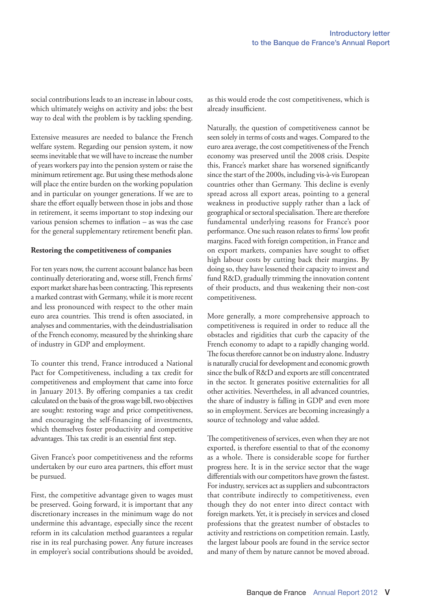social contributions leads to an increase in labour costs, which ultimately weighs on activity and jobs: the best way to deal with the problem is by tackling spending.

Extensive measures are needed to balance the French welfare system. Regarding our pension system, it now seems inevitable that we will have to increase the number of years workers pay into the pension system or raise the minimum retirement age. But using these methods alone will place the entire burden on the working population and in particular on younger generations. If we are to share the effort equally between those in jobs and those in retirement, it seems important to stop indexing our various pension schemes to inflation – as was the case for the general supplementary retirement benefit plan.

### **Restoring the competitiveness of companies**

For ten years now, the current account balance has been continually deteriorating and, worse still, French firms' export market share has been contracting. This represents a marked contrast with Germany, while it is more recent and less pronounced with respect to the other main euro area countries. This trend is often associated, in analyses and commentaries, with the deindustrialisation of the French economy, measured by the shrinking share of industry in GDP and employment.

To counter this trend, France introduced a National Pact for Competitiveness, including a tax credit for competitiveness and employment that came into force in January 2013. By offering companies a tax credit calculated on the basis of the gross wage bill, two objectives are sought: restoring wage and price competitiveness, and encouraging the self-financing of investments, which themselves foster productivity and competitive advantages. This tax credit is an essential first step.

Given France's poor competitiveness and the reforms undertaken by our euro area partners, this effort must be pursued.

First, the competitive advantage given to wages must be preserved. Going forward, it is important that any discretionary increases in the minimum wage do not undermine this advantage, especially since the recent reform in its calculation method guarantees a regular rise in its real purchasing power. Any future increases in employer's social contributions should be avoided,

as this would erode the cost competitiveness, which is already insufficient.

Naturally, the question of competitiveness cannot be seen solely in terms of costs and wages. Compared to the euro area average, the cost competitiveness of the French economy was preserved until the 2008 crisis. Despite this, France's market share has worsened significantly since the start of the 2000s, including vis-à-vis European countries other than Germany. This decline is evenly spread across all export areas, pointing to a general weakness in productive supply rather than a lack of geographical or sectoral specialisation. There are therefore fundamental underlying reasons for France's poor performance. One such reason relates to firms' low profit margins. Faced with foreign competition, in France and on export markets, companies have sought to offset high labour costs by cutting back their margins. By doing so, they have lessened their capacity to invest and fund R&D, gradually trimming the innovation content of their products, and thus weakening their non‑cost competitiveness.

More generally, a more comprehensive approach to competitiveness is required in order to reduce all the obstacles and rigidities that curb the capacity of the French economy to adapt to a rapidly changing world. The focus therefore cannot be on industry alone. Industry is naturally crucial for development and economic growth since the bulk of R&D and exports are still concentrated in the sector. It generates positive externalities for all other activities. Nevertheless, in all advanced countries, the share of industry is falling in GDP and even more so in employment. Services are becoming increasingly a source of technology and value added.

The competitiveness of services, even when they are not exported, is therefore essential to that of the economy as a whole. There is considerable scope for further progress here. It is in the service sector that the wage differentials with our competitors have grown the fastest. For industry, services act as suppliers and subcontractors that contribute indirectly to competitiveness, even though they do not enter into direct contact with foreign markets. Yet, it is precisely in services and closed professions that the greatest number of obstacles to activity and restrictions on competition remain. Lastly, the largest labour pools are found in the service sector and many of them by nature cannot be moved abroad.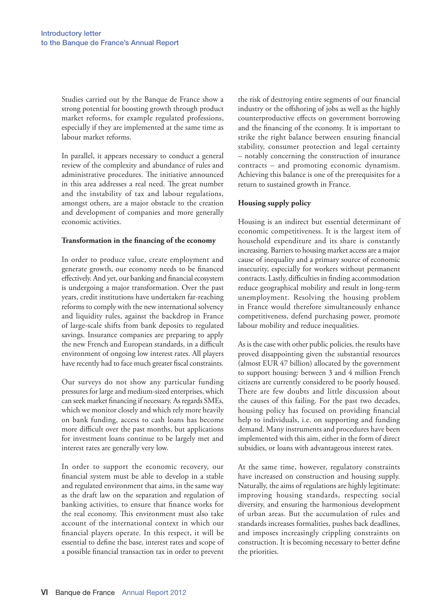Studies carried out by the Banque de France show a strong potential for boosting growth through product market reforms, for example regulated professions, especially if they are implemented at the same time as labour market reforms.

In parallel, it appears necessary to conduct a general review of the complexity and abundance of rules and administrative procedures. The initiative announced in this area addresses a real need. The great number and the instability of tax and labour regulations, amongst others, are a major obstacle to the creation and development of companies and more generally economic activities.

### **Transformation in the financing of the economy**

In order to produce value, create employment and generate growth, our economy needs to be financed effectively. And yet, our banking and financial ecosystem is undergoing a major transformation. Over the past years, credit institutions have undertaken far-reaching reforms to comply with the new international solvency and liquidity rules, against the backdrop in France of large‑scale shifts from bank deposits to regulated savings. Insurance companies are preparing to apply the new French and European standards, in a difficult environment of ongoing low interest rates. All players have recently had to face much greater fiscal constraints.

Our surveys do not show any particular funding pressures for large and medium‑sized enterprises, which can seek market financing if necessary. As regards SMEs, which we monitor closely and which rely more heavily on bank funding, access to cash loans has become more difficult over the past months, but applications for investment loans continue to be largely met and interest rates are generally very low.

In order to support the economic recovery, our financial system must be able to develop in a stable and regulated environment that aims, in the same way as the draft law on the separation and regulation of banking activities, to ensure that finance works for the real economy. This environment must also take account of the international context in which our financial players operate. In this respect, it will be essential to define the base, interest rates and scope of a possible financial transaction tax in order to prevent

the risk of destroying entire segments of our financial industry or the offshoring of jobs as well as the highly counterproductive effects on government borrowing and the financing of the economy. It is important to strike the right balance between ensuring financial stability, consumer protection and legal certainty – notably concerning the construction of insurance contracts – and promoting economic dynamism. Achieving this balance is one of the prerequisites for a return to sustained growth in France.

## **Housing supply policy**

Housing is an indirect but essential determinant of economic competitiveness. It is the largest item of household expenditure and its share is constantly increasing. Barriers to housing market access are a major cause of inequality and a primary source of economic insecurity, especially for workers without permanent contracts. Lastly, difficulties in finding accommodation reduce geographical mobility and result in long-term unemployment. Resolving the housing problem in France would therefore simultaneously enhance competitiveness, defend purchasing power, promote labour mobility and reduce inequalities.

As is the case with other public policies, the results have proved disappointing given the substantial resources (almost EUR 47 billion) allocated by the government to support housing: between 3 and 4 million French citizens are currently considered to be poorly housed. There are few doubts and little discussion about the causes of this failing. For the past two decades, housing policy has focused on providing financial help to individuals, i.e. on supporting and funding demand. Many instruments and procedures have been implemented with this aim, either in the form of direct subsidies, or loans with advantageous interest rates.

At the same time, however, regulatory constraints have increased on construction and housing supply. Naturally, the aims of regulations are highly legitimate: improving housing standards, respecting social diversity, and ensuring the harmonious development of urban areas. But the accumulation of rules and standards increases formalities, pushes back deadlines, and imposes increasingly crippling constraints on construction. It is becoming necessary to better define the priorities.